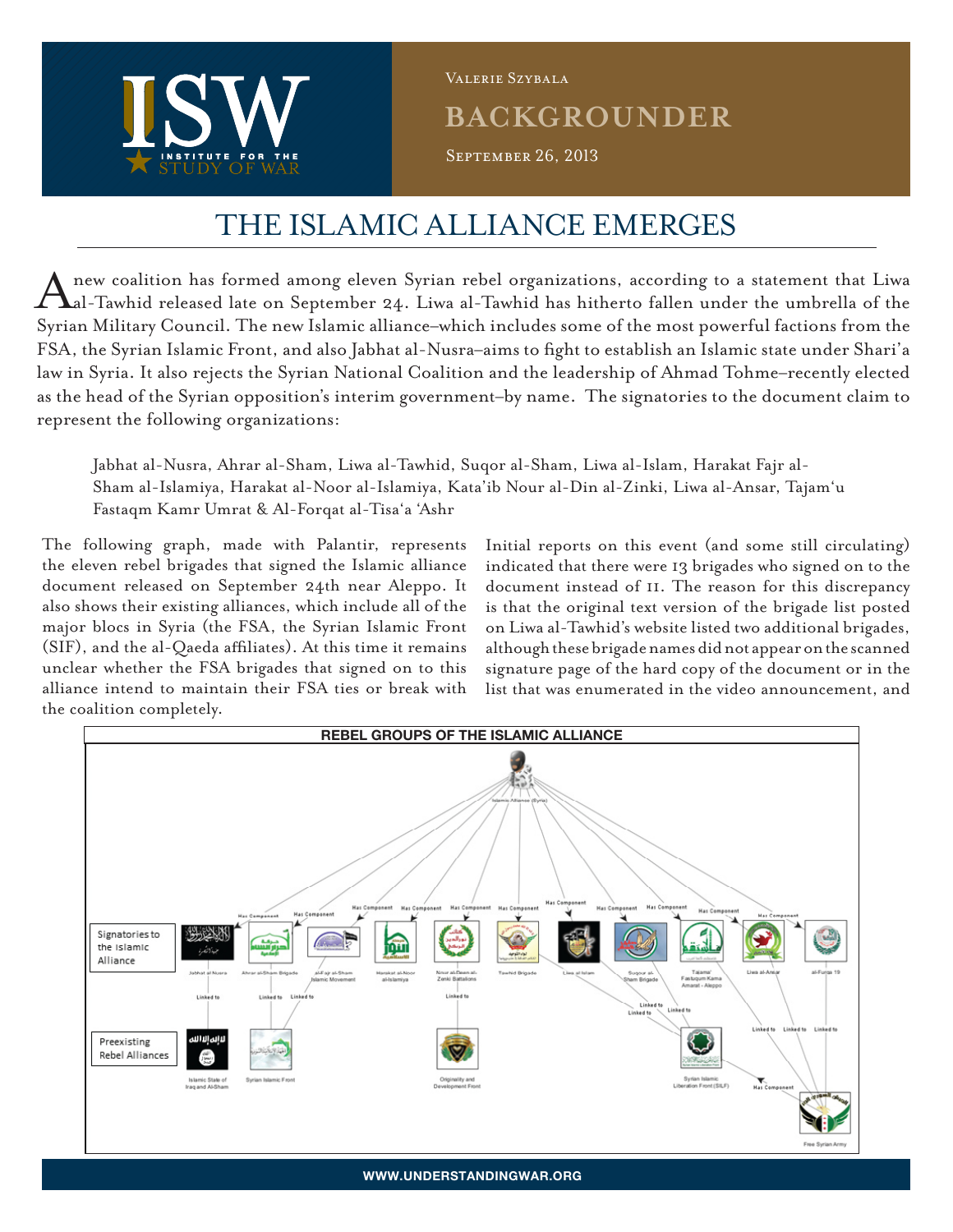

**BACKGROUNDER** September 26, 2013 Valerie Szybala

## The Islamic Alliance Emerges

A new coalition has formed among eleven Syrian rebel organizations, according to a statement that Liwa al-Tawhid released late on September 24. Liwa al-Tawhid has hitherto fallen under the umbrella of the Syrian Military Council. The new Islamic alliance–which includes some of the most powerful factions from the FSA, the Syrian Islamic Front, and also Jabhat al-Nusra–aims to fight to establish an Islamic state under Shari'a law in Syria. It also rejects the Syrian National Coalition and the leadership of Ahmad Tohme–recently elected as the head of the Syrian opposition's interim government–by name. The signatories to the document claim to represent the following organizations:

Jabhat al-Nusra, Ahrar al-Sham, Liwa al-Tawhid, Suqor al-Sham, Liwa al-Islam, Harakat Fajr al-Sham al-Islamiya, Harakat al-Noor al-Islamiya, Kata'ib Nour al-Din al-Zinki, Liwa al-Ansar, Tajam'u Fastaqm Kamr Umrat & Al-Forqat al-Tisa'a 'Ashr

The following graph, made with Palantir, represents the eleven rebel brigades that signed the Islamic alliance document released on September 24th near Aleppo. It also shows their existing alliances, which include all of the major blocs in Syria (the FSA, the Syrian Islamic Front (SIF), and the al-Qaeda affiliates). At this time it remains unclear whether the FSA brigades that signed on to this alliance intend to maintain their FSA ties or break with the coalition completely.

Initial reports on this event (and some still circulating) indicated that there were 13 brigades who signed on to the document instead of 11. The reason for this discrepancy is that the original text version of the brigade list posted on Liwa al-Tawhid's website listed two additional brigades, although these brigade names did not appear on the scanned signature page of the hard copy of the document or in the list that was enumerated in the video announcement, and



**www.Understandingwar.org**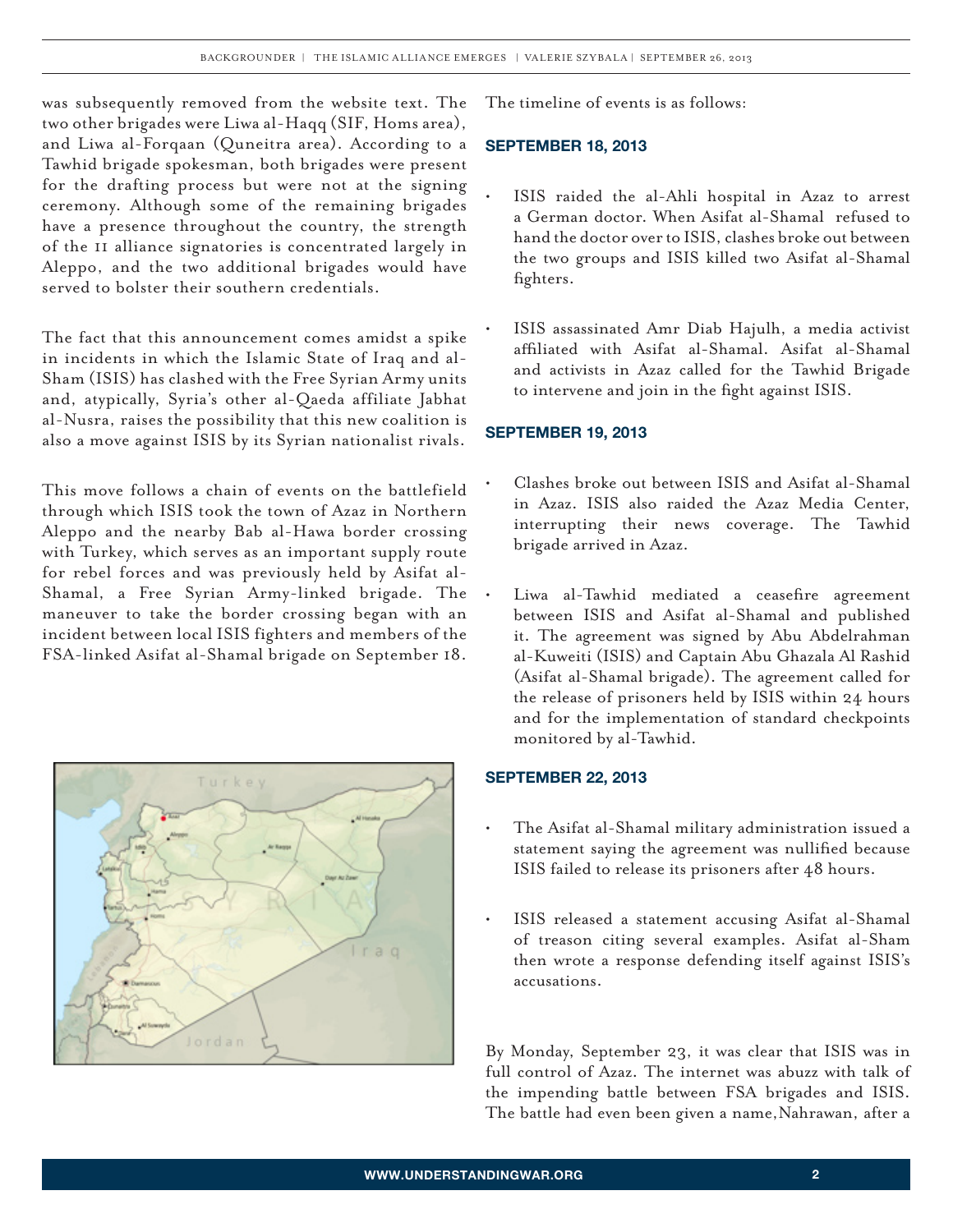was subsequently removed from the website text. The two other brigades were Liwa al-Haqq (SIF, Homs area), and Liwa al-Forqaan (Quneitra area). According to a Tawhid brigade spokesman, both brigades were present for the drafting process but were not at the signing ceremony. Although some of the remaining brigades have a presence throughout the country, the strength of the 11 alliance signatories is concentrated largely in Aleppo, and the two additional brigades would have served to bolster their southern credentials.

The fact that this announcement comes amidst a spike in incidents in which the Islamic State of Iraq and al-Sham (ISIS) has clashed with the Free Syrian Army units and, atypically, Syria's other al-Qaeda affiliate Jabhat al-Nusra, raises the possibility that this new coalition is also a move against ISIS by its Syrian nationalist rivals.

This move follows a chain of events on the battlefield through which ISIS took the town of Azaz in Northern Aleppo and the nearby Bab al-Hawa border crossing with Turkey, which serves as an important supply route for rebel forces and was previously held by Asifat al-Shamal, a Free Syrian Army-linked brigade. The maneuver to take the border crossing began with an incident between local ISIS fighters and members of the FSA-linked Asifat al-Shamal brigade on September 18.



The timeline of events is as follows:

## **September 18, 2013**

- ISIS raided the al-Ahli hospital in Azaz to arrest a German doctor. When Asifat al-Shamal refused to hand the doctor over to ISIS, clashes broke out between the two groups and ISIS killed two Asifat al-Shamal fighters.
- ISIS assassinated Amr Diab Hajulh, a media activist affiliated with Asifat al-Shamal. Asifat al-Shamal and activists in Azaz called for the Tawhid Brigade to intervene and join in the fight against ISIS.

## **September 19, 2013**

- Clashes broke out between ISIS and Asifat al-Shamal in Azaz. ISIS also raided the Azaz Media Center, interrupting their news coverage. The Tawhid brigade arrived in Azaz.
- Liwa al-Tawhid mediated a ceasefire agreement between ISIS and Asifat al-Shamal and published it. The agreement was signed by Abu Abdelrahman al-Kuweiti (ISIS) and Captain Abu Ghazala Al Rashid (Asifat al-Shamal brigade). The agreement called for the release of prisoners held by ISIS within 24 hours and for the implementation of standard checkpoints monitored by al-Tawhid.

## **September 22, 2013**

- The Asifat al-Shamal military administration issued a statement saying the agreement was nullified because ISIS failed to release its prisoners after 48 hours.
- ISIS released a statement accusing Asifat al-Shamal of treason citing several examples. Asifat al-Sham then wrote a response defending itself against ISIS's accusations.

By Monday, September 23, it was clear that ISIS was in full control of Azaz. The internet was abuzz with talk of the impending battle between FSA brigades and ISIS. The battle had even been given a name,Nahrawan, after a